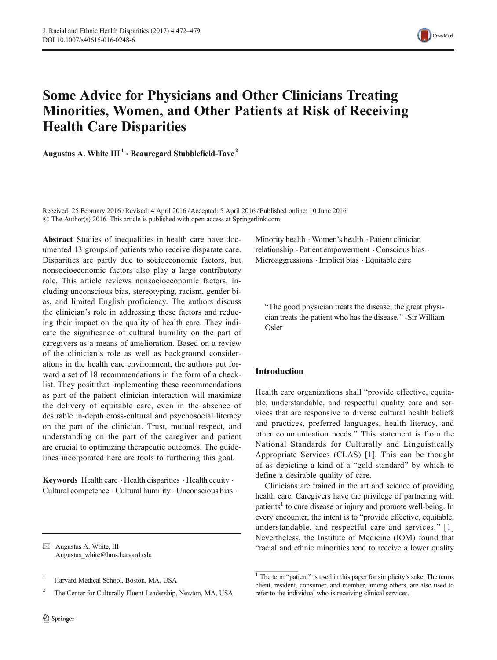

# Some Advice for Physicians and Other Clinicians Treating Minorities, Women, and Other Patients at Risk of Receiving Health Care Disparities

Augustus A. White  $III<sup>1</sup> \cdot$  Beauregard Stubblefield-Tave<sup>2</sup>

Received: 25 February 2016 /Revised: 4 April 2016 /Accepted: 5 April 2016 /Published online: 10 June 2016  $\odot$  The Author(s) 2016. This article is published with open access at Springerlink.com

Abstract Studies of inequalities in health care have documented 13 groups of patients who receive disparate care. Disparities are partly due to socioeconomic factors, but nonsocioeconomic factors also play a large contributory role. This article reviews nonsocioeconomic factors, including unconscious bias, stereotyping, racism, gender bias, and limited English proficiency. The authors discuss the clinician's role in addressing these factors and reducing their impact on the quality of health care. They indicate the significance of cultural humility on the part of caregivers as a means of amelioration. Based on a review of the clinician's role as well as background considerations in the health care environment, the authors put forward a set of 18 recommendations in the form of a checklist. They posit that implementing these recommendations as part of the patient clinician interaction will maximize the delivery of equitable care, even in the absence of desirable in-depth cross-cultural and psychosocial literacy on the part of the clinician. Trust, mutual respect, and understanding on the part of the caregiver and patient are crucial to optimizing therapeutic outcomes. The guidelines incorporated here are tools to furthering this goal.

Keywords Health care . Health disparities . Health equity . Cultural competence . Cultural humility . Unconscious bias .

 $\boxtimes$  Augustus A. White, III Augustus\_white@hms.harvard.edu

<sup>1</sup> Harvard Medical School, Boston, MA, USA

<sup>2</sup> The Center for Culturally Fluent Leadership, Newton, MA, USA

Minority health . Women's health . Patient clinician relationship . Patient empowerment . Conscious bias . Microaggressions . Implicit bias . Equitable care

"The good physician treats the disease; the great physician treats the patient who has the disease.^ -Sir William Osler

### Introduction

Health care organizations shall "provide effective, equitable, understandable, and respectful quality care and services that are responsive to diverse cultural health beliefs and practices, preferred languages, health literacy, and other communication needs.^ This statement is from the National Standards for Culturally and Linguistically Appropriate Services (CLAS) [[1](#page-6-0)]. This can be thought of as depicting a kind of a "gold standard" by which to define a desirable quality of care.

Clinicians are trained in the art and science of providing health care. Caregivers have the privilege of partnering with patients<sup>1</sup> to cure disease or injury and promote well-being. In every encounter, the intent is to "provide effective, equitable, understandable, and respectful care and services." [[1](#page-6-0)] Nevertheless, the Institute of Medicine (IOM) found that "racial and ethnic minorities tend to receive a lower quality

 $1$  The term "patient" is used in this paper for simplicity's sake. The terms client, resident, consumer, and member, among others, are also used to refer to the individual who is receiving clinical services.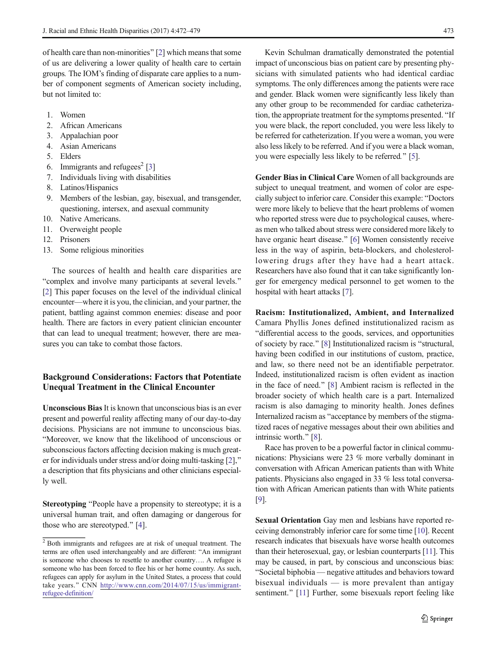of health care than non-minorities^ [[2\]](#page-6-0) which means that some of us are delivering a lower quality of health care to certain groups. The IOM's finding of disparate care applies to a number of component segments of American society including, but not limited to:

- 1. Women
- 2. African Americans
- 3. Appalachian poor
- 4. Asian Americans
- 5. Elders
- 6. Immigrants and refugees<sup>2</sup> [\[3\]](#page-7-0)
- 7. Individuals living with disabilities
- 8. Latinos/Hispanics
- 9. Members of the lesbian, gay, bisexual, and transgender, questioning, intersex, and asexual community
- 10. Native Americans.
- 11. Overweight people
- 12. Prisoners
- 13. Some religious minorities

The sources of health and health care disparities are "complex and involve many participants at several levels." [\[2](#page-6-0)] This paper focuses on the level of the individual clinical encounter—where it is you, the clinician, and your partner, the patient, battling against common enemies: disease and poor health. There are factors in every patient clinician encounter that can lead to unequal treatment; however, there are measures you can take to combat those factors.

## Background Considerations: Factors that Potentiate Unequal Treatment in the Clinical Encounter

Unconscious Bias It is known that unconscious bias is an ever present and powerful reality affecting many of our day-to-day decisions. Physicians are not immune to unconscious bias. "Moreover, we know that the likelihood of unconscious or subconscious factors affecting decision making is much great-er for individuals under stress and/or doing multi-tasking [[2\]](#page-6-0)," a description that fits physicians and other clinicians especially well.

Stereotyping "People have a propensity to stereotype; it is a universal human trait, and often damaging or dangerous for those who are stereotyped." [[4\]](#page-7-0).

Kevin Schulman dramatically demonstrated the potential impact of unconscious bias on patient care by presenting physicians with simulated patients who had identical cardiac symptoms. The only differences among the patients were race and gender. Black women were significantly less likely than any other group to be recommended for cardiac catheterization, the appropriate treatment for the symptoms presented. "If you were black, the report concluded, you were less likely to be referred for catheterization. If you were a woman, you were also less likely to be referred. And if you were a black woman, you were especially less likely to be referred.^ [\[5\]](#page-7-0).

Gender Bias in Clinical Care Women of all backgrounds are subject to unequal treatment, and women of color are especially subject to inferior care. Consider this example: "Doctors" were more likely to believe that the heart problems of women who reported stress were due to psychological causes, whereas men who talked about stress were considered more likely to have organic heart disease." [\[6\]](#page-7-0) Women consistently receive less in the way of aspirin, beta-blockers, and cholesterollowering drugs after they have had a heart attack. Researchers have also found that it can take significantly longer for emergency medical personnel to get women to the hospital with heart attacks [[7](#page-7-0)].

Racism: Institutionalized, Ambient, and Internalized Camara Phyllis Jones defined institutionalized racism as "differential access to the goods, services, and opportunities of society by race." [\[8](#page-7-0)] Institutionalized racism is "structural, having been codified in our institutions of custom, practice, and law, so there need not be an identifiable perpetrator. Indeed, institutionalized racism is often evident as inaction in the face of need." [\[8\]](#page-7-0) Ambient racism is reflected in the broader society of which health care is a part. Internalized racism is also damaging to minority health. Jones defines Internalized racism as "acceptance by members of the stigmatized races of negative messages about their own abilities and intrinsic worth." [\[8\]](#page-7-0).

Race has proven to be a powerful factor in clinical communications: Physicians were 23 % more verbally dominant in conversation with African American patients than with White patients. Physicians also engaged in 33 % less total conversation with African American patients than with White patients [\[9](#page-7-0)].

Sexual Orientation Gay men and lesbians have reported receiving demonstrably inferior care for some time [[10](#page-7-0)]. Recent research indicates that bisexuals have worse health outcomes than their heterosexual, gay, or lesbian counterparts [[11](#page-7-0)]. This may be caused, in part, by conscious and unconscious bias: "Societal biphobia — negative attitudes and behaviors toward bisexual individuals — is more prevalent than antigay sentiment." [\[11](#page-7-0)] Further, some bisexuals report feeling like

<sup>2</sup> Both immigrants and refugees are at risk of unequal treatment. The terms are often used interchangeably and are different: "An immigrant is someone who chooses to resettle to another country…. A refugee is someone who has been forced to flee his or her home country. As such, refugees can apply for asylum in the United States, a process that could take years." CNN [http://www.cnn.com/2014/07/15/us/immigrant](http://www.cnn.com/2014/07/15/us/immigrant-refugee-definition/)[refugee-definition/](http://www.cnn.com/2014/07/15/us/immigrant-refugee-definition/)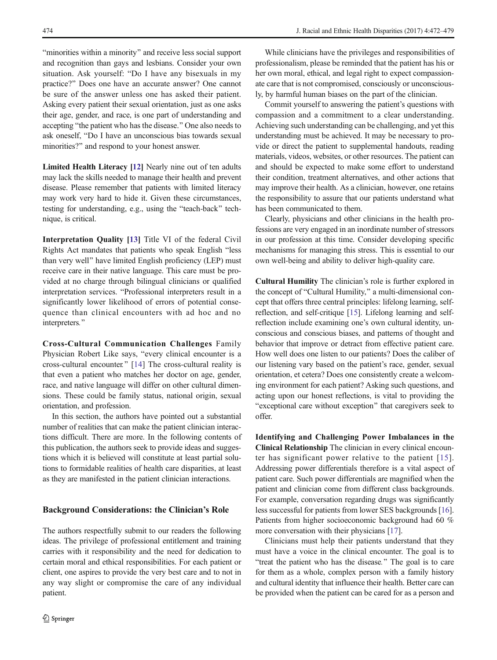"minorities within a minority" and receive less social support and recognition than gays and lesbians. Consider your own situation. Ask yourself: "Do I have any bisexuals in my practice?^ Does one have an accurate answer? One cannot be sure of the answer unless one has asked their patient. Asking every patient their sexual orientation, just as one asks their age, gender, and race, is one part of understanding and accepting "the patient who has the disease." One also needs to ask oneself, "Do I have an unconscious bias towards sexual minorities?" and respond to your honest answer.

Limited Health Literacy [\[12\]](#page-7-0) Nearly nine out of ten adults may lack the skills needed to manage their health and prevent disease. Please remember that patients with limited literacy may work very hard to hide it. Given these circumstances, testing for understanding, e.g., using the "teach-back" technique, is critical.

Interpretation Quality [\[13](#page-7-0)] Title VI of the federal Civil Rights Act mandates that patients who speak English "less than very well" have limited English proficiency (LEP) must receive care in their native language. This care must be provided at no charge through bilingual clinicians or qualified interpretation services. "Professional interpreters result in a significantly lower likelihood of errors of potential consequence than clinical encounters with ad hoc and no interpreters."

Cross-Cultural Communication Challenges Family Physician Robert Like says, "every clinical encounter is a cross-cultural encounter.^ [[14\]](#page-7-0) The cross-cultural reality is that even a patient who matches her doctor on age, gender, race, and native language will differ on other cultural dimensions. These could be family status, national origin, sexual orientation, and profession.

In this section, the authors have pointed out a substantial number of realities that can make the patient clinician interactions difficult. There are more. In the following contents of this publication, the authors seek to provide ideas and suggestions which it is believed will constitute at least partial solutions to formidable realities of health care disparities, at least as they are manifested in the patient clinician interactions.

#### Background Considerations: the Clinician's Role

The authors respectfully submit to our readers the following ideas. The privilege of professional entitlement and training carries with it responsibility and the need for dedication to certain moral and ethical responsibilities. For each patient or client, one aspires to provide the very best care and to not in any way slight or compromise the care of any individual patient.

While clinicians have the privileges and responsibilities of professionalism, please be reminded that the patient has his or her own moral, ethical, and legal right to expect compassionate care that is not compromised, consciously or unconsciously, by harmful human biases on the part of the clinician.

Commit yourself to answering the patient's questions with compassion and a commitment to a clear understanding. Achieving such understanding can be challenging, and yet this understanding must be achieved. It may be necessary to provide or direct the patient to supplemental handouts, reading materials, videos, websites, or other resources. The patient can and should be expected to make some effort to understand their condition, treatment alternatives, and other actions that may improve their health. As a clinician, however, one retains the responsibility to assure that our patients understand what has been communicated to them.

Clearly, physicians and other clinicians in the health professions are very engaged in an inordinate number of stressors in our profession at this time. Consider developing specific mechanisms for managing this stress. This is essential to our own well-being and ability to deliver high-quality care.

Cultural Humility The clinician's role is further explored in the concept of "Cultural Humility," a multi-dimensional concept that offers three central principles: lifelong learning, selfreflection, and self-critique [\[15\]](#page-7-0). Lifelong learning and selfreflection include examining one's own cultural identity, unconscious and conscious biases, and patterns of thought and behavior that improve or detract from effective patient care. How well does one listen to our patients? Does the caliber of our listening vary based on the patient's race, gender, sexual orientation, et cetera? Does one consistently create a welcoming environment for each patient? Asking such questions, and acting upon our honest reflections, is vital to providing the "exceptional care without exception" that caregivers seek to offer.

Identifying and Challenging Power Imbalances in the Clinical Relationship The clinician in every clinical encounter has significant power relative to the patient [[15](#page-7-0)]. Addressing power differentials therefore is a vital aspect of patient care. Such power differentials are magnified when the patient and clinician come from different class backgrounds. For example, conversation regarding drugs was significantly less successful for patients from lower SES backgrounds [[16\]](#page-7-0). Patients from higher socioeconomic background had 60 % more conversation with their physicians [\[17](#page-7-0)].

Clinicians must help their patients understand that they must have a voice in the clinical encounter. The goal is to "treat the patient who has the disease." The goal is to care for them as a whole, complex person with a family history and cultural identity that influence their health. Better care can be provided when the patient can be cared for as a person and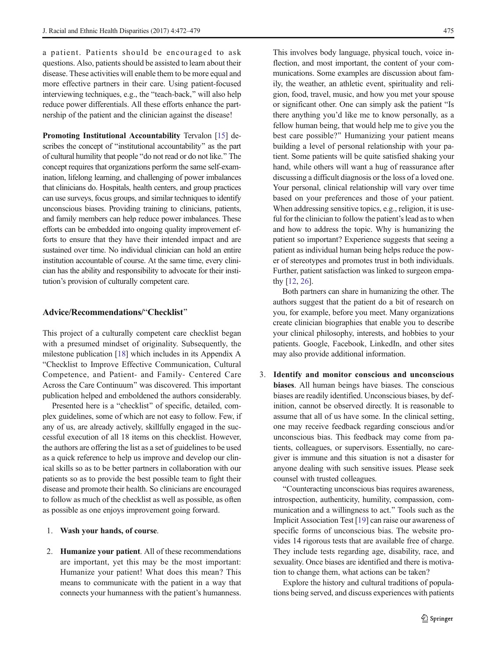a patient. Patients should be encouraged to ask questions. Also, patients should be assisted to learn about their disease. These activities will enable them to be more equal and more effective partners in their care. Using patient-focused interviewing techniques, e.g., the "teach-back," will also help reduce power differentials. All these efforts enhance the partnership of the patient and the clinician against the disease!

Promoting Institutional Accountability Tervalon [[15](#page-7-0)] describes the concept of "institutional accountability" as the part of cultural humility that people "do not read or do not like." The concept requires that organizations perform the same self-examination, lifelong learning, and challenging of power imbalances that clinicians do. Hospitals, health centers, and group practices can use surveys, focus groups, and similar techniques to identify unconscious biases. Providing training to clinicians, patients, and family members can help reduce power imbalances. These efforts can be embedded into ongoing quality improvement efforts to ensure that they have their intended impact and are sustained over time. No individual clinician can hold an entire institution accountable of course. At the same time, every clinician has the ability and responsibility to advocate for their institution's provision of culturally competent care.

#### Advice/Recommendations/"Checklist"

This project of a culturally competent care checklist began with a presumed mindset of originality. Subsequently, the milestone publication [[18\]](#page-7-0) which includes in its Appendix A "Checklist to Improve Effective Communication, Cultural Competence, and Patient- and Family- Centered Care Across the Care Continuum" was discovered. This important publication helped and emboldened the authors considerably.

Presented here is a "checklist" of specific, detailed, complex guidelines, some of which are not easy to follow. Few, if any of us, are already actively, skillfully engaged in the successful execution of all 18 items on this checklist. However, the authors are offering the list as a set of guidelines to be used as a quick reference to help us improve and develop our clinical skills so as to be better partners in collaboration with our patients so as to provide the best possible team to fight their disease and promote their health. So clinicians are encouraged to follow as much of the checklist as well as possible, as often as possible as one enjoys improvement going forward.

#### 1. Wash your hands, of course.

2. Humanize your patient. All of these recommendations are important, yet this may be the most important: Humanize your patient! What does this mean? This means to communicate with the patient in a way that connects your humanness with the patient's humanness.

This involves body language, physical touch, voice inflection, and most important, the content of your communications. Some examples are discussion about family, the weather, an athletic event, spirituality and religion, food, travel, music, and how you met your spouse or significant other. One can simply ask the patient "Is there anything you'd like me to know personally, as a fellow human being, that would help me to give you the best care possible?" Humanizing your patient means building a level of personal relationship with your patient. Some patients will be quite satisfied shaking your hand, while others will want a hug of reassurance after discussing a difficult diagnosis or the loss of a loved one. Your personal, clinical relationship will vary over time based on your preferences and those of your patient. When addressing sensitive topics, e.g., religion, it is useful for the clinician to follow the patient's lead as to when and how to address the topic. Why is humanizing the patient so important? Experience suggests that seeing a patient as individual human being helps reduce the power of stereotypes and promotes trust in both individuals. Further, patient satisfaction was linked to surgeon empathy [\[12](#page-7-0), [26](#page-7-0)].

Both partners can share in humanizing the other. The authors suggest that the patient do a bit of research on you, for example, before you meet. Many organizations create clinician biographies that enable you to describe your clinical philosophy, interests, and hobbies to your patients. Google, Facebook, LinkedIn, and other sites may also provide additional information.

3. Identify and monitor conscious and unconscious biases. All human beings have biases. The conscious biases are readily identified. Unconscious biases, by definition, cannot be observed directly. It is reasonable to assume that all of us have some. In the clinical setting, one may receive feedback regarding conscious and/or unconscious bias. This feedback may come from patients, colleagues, or supervisors. Essentially, no caregiver is immune and this situation is not a disaster for anyone dealing with such sensitive issues. Please seek counsel with trusted colleagues.

"Counteracting unconscious bias requires awareness, introspection, authenticity, humility, compassion, communication and a willingness to act." Tools such as the Implicit Association Test [[19\]](#page-7-0) can raise our awareness of specific forms of unconscious bias. The website provides 14 rigorous tests that are available free of charge. They include tests regarding age, disability, race, and sexuality. Once biases are identified and there is motivation to change them, what actions can be taken?

Explore the history and cultural traditions of populations being served, and discuss experiences with patients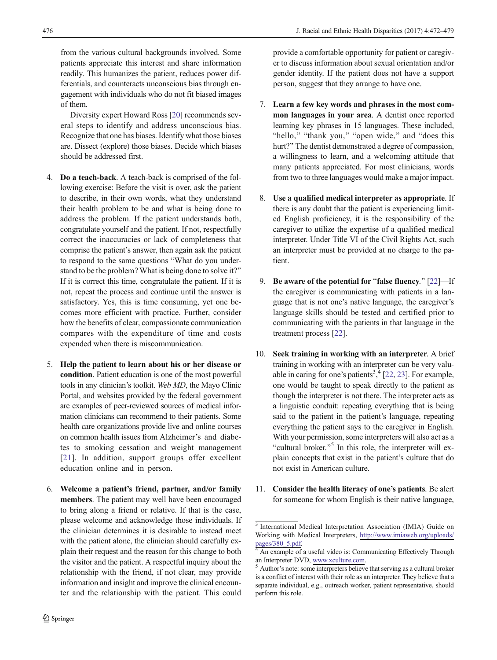from the various cultural backgrounds involved. Some patients appreciate this interest and share information readily. This humanizes the patient, reduces power differentials, and counteracts unconscious bias through engagement with individuals who do not fit biased images of them.

Diversity expert Howard Ross [\[20\]](#page-7-0) recommends several steps to identify and address unconscious bias. Recognize that one has biases. Identify what those biases are. Dissect (explore) those biases. Decide which biases should be addressed first.

- 4. Do a teach-back. A teach-back is comprised of the following exercise: Before the visit is over, ask the patient to describe, in their own words, what they understand their health problem to be and what is being done to address the problem. If the patient understands both, congratulate yourself and the patient. If not, respectfully correct the inaccuracies or lack of completeness that comprise the patient's answer, then again ask the patient to respond to the same questions "What do you understand to be the problem? What is being done to solve it?" If it is correct this time, congratulate the patient. If it is not, repeat the process and continue until the answer is satisfactory. Yes, this is time consuming, yet one becomes more efficient with practice. Further, consider how the benefits of clear, compassionate communication compares with the expenditure of time and costs expended when there is miscommunication.
- 5. Help the patient to learn about his or her disease or condition. Patient education is one of the most powerful tools in any clinician's toolkit. Web MD, the Mayo Clinic Portal, and websites provided by the federal government are examples of peer-reviewed sources of medical information clinicians can recommend to their patients. Some health care organizations provide live and online courses on common health issues from Alzheimer's and diabetes to smoking cessation and weight management [[21](#page-7-0)]. In addition, support groups offer excellent education online and in person.
- 6. Welcome a patient's friend, partner, and/or family members. The patient may well have been encouraged to bring along a friend or relative. If that is the case, please welcome and acknowledge those individuals. If the clinician determines it is desirable to instead meet with the patient alone, the clinician should carefully explain their request and the reason for this change to both the visitor and the patient. A respectful inquiry about the relationship with the friend, if not clear, may provide information and insight and improve the clinical encounter and the relationship with the patient. This could

provide a comfortable opportunity for patient or caregiver to discuss information about sexual orientation and/or gender identity. If the patient does not have a support person, suggest that they arrange to have one.

- 7. Learn a few key words and phrases in the most common languages in your area. A dentist once reported learning key phrases in 15 languages. These included, "hello," "thank you," "open wide," and "does this hurt?" The dentist demonstrated a degree of compassion, a willingness to learn, and a welcoming attitude that many patients appreciated. For most clinicians, words from two to three languages would make a major impact.
- 8. Use a qualified medical interpreter as appropriate. If there is any doubt that the patient is experiencing limited English proficiency, it is the responsibility of the caregiver to utilize the expertise of a qualified medical interpreter. Under Title VI of the Civil Rights Act, such an interpreter must be provided at no charge to the patient.
- 9. Be aware of the potential for "false fluency."  $[22]$ —If the caregiver is communicating with patients in a language that is not one's native language, the caregiver's language skills should be tested and certified prior to communicating with the patients in that language in the treatment process [[22\]](#page-7-0).
- 10. Seek training in working with an interpreter. A brief training in working with an interpreter can be very valu-able in caring for one's patients<sup>3,4</sup> [[22](#page-7-0), [23\]](#page-7-0). For example, one would be taught to speak directly to the patient as though the interpreter is not there. The interpreter acts as a linguistic conduit: repeating everything that is being said to the patient in the patient's language, repeating everything the patient says to the caregiver in English. With your permission, some interpreters will also act as a "cultural broker."<sup>5</sup> In this role, the interpreter will explain concepts that exist in the patient's culture that do not exist in American culture.
- 11. Consider the health literacy of one's patients. Be alert for someone for whom English is their native language,

<sup>3</sup> International Medical Interpretation Association (IMIA) Guide on Working with Medical Interpreters, [http://www.imiaweb.org/uploads/](http://www.imiaweb.org/uploads/pages/380_5.pdf) [pages/380\\_5.pdf.](http://www.imiaweb.org/uploads/pages/380_5.pdf) 4 An example of a useful video is: Communicating Effectively Through

an Interpreter DVD, [www.xculture.com](http://www.xculture.com/). <sup>5</sup> Author's note: some interpreters believe that serving as a cultural broker

is a conflict of interest with their role as an interpreter. They believe that a separate individual, e.g., outreach worker, patient representative, should perform this role.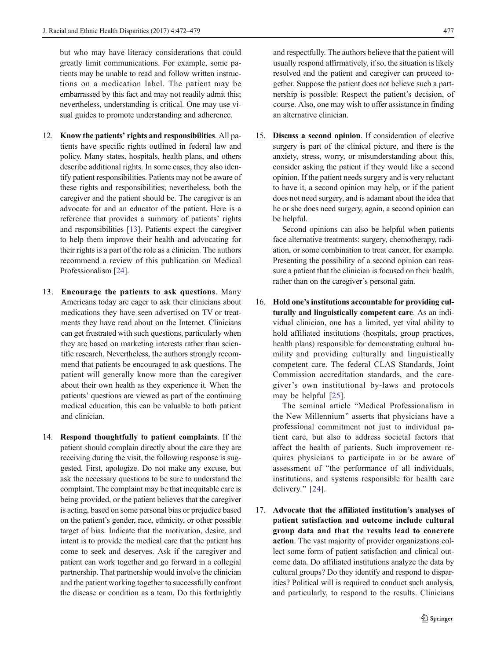but who may have literacy considerations that could greatly limit communications. For example, some patients may be unable to read and follow written instructions on a medication label. The patient may be embarrassed by this fact and may not readily admit this; nevertheless, understanding is critical. One may use visual guides to promote understanding and adherence.

- 12. Know the patients' rights and responsibilities. All patients have specific rights outlined in federal law and policy. Many states, hospitals, health plans, and others describe additional rights. In some cases, they also identify patient responsibilities. Patients may not be aware of these rights and responsibilities; nevertheless, both the caregiver and the patient should be. The caregiver is an advocate for and an educator of the patient. Here is a reference that provides a summary of patients' rights and responsibilities [\[13\]](#page-7-0). Patients expect the caregiver to help them improve their health and advocating for their rights is a part of the role as a clinician. The authors recommend a review of this publication on Medical Professionalism [\[24](#page-7-0)].
- 13. Encourage the patients to ask questions. Many Americans today are eager to ask their clinicians about medications they have seen advertised on TV or treatments they have read about on the Internet. Clinicians can get frustrated with such questions, particularly when they are based on marketing interests rather than scientific research. Nevertheless, the authors strongly recommend that patients be encouraged to ask questions. The patient will generally know more than the caregiver about their own health as they experience it. When the patients' questions are viewed as part of the continuing medical education, this can be valuable to both patient and clinician.
- 14. Respond thoughtfully to patient complaints. If the patient should complain directly about the care they are receiving during the visit, the following response is suggested. First, apologize. Do not make any excuse, but ask the necessary questions to be sure to understand the complaint. The complaint may be that inequitable care is being provided, or the patient believes that the caregiver is acting, based on some personal bias or prejudice based on the patient's gender, race, ethnicity, or other possible target of bias. Indicate that the motivation, desire, and intent is to provide the medical care that the patient has come to seek and deserves. Ask if the caregiver and patient can work together and go forward in a collegial partnership. That partnership would involve the clinician and the patient working together to successfully confront the disease or condition as a team. Do this forthrightly

and respectfully. The authors believe that the patient will usually respond affirmatively, if so, the situation is likely resolved and the patient and caregiver can proceed together. Suppose the patient does not believe such a partnership is possible. Respect the patient's decision, of course. Also, one may wish to offer assistance in finding an alternative clinician.

15. Discuss a second opinion. If consideration of elective surgery is part of the clinical picture, and there is the anxiety, stress, worry, or misunderstanding about this, consider asking the patient if they would like a second opinion. If the patient needs surgery and is very reluctant to have it, a second opinion may help, or if the patient does not need surgery, and is adamant about the idea that he or she does need surgery, again, a second opinion can be helpful.

Second opinions can also be helpful when patients face alternative treatments: surgery, chemotherapy, radiation, or some combination to treat cancer, for example. Presenting the possibility of a second opinion can reassure a patient that the clinician is focused on their health, rather than on the caregiver's personal gain.

16. Hold one's institutions accountable for providing culturally and linguistically competent care. As an individual clinician, one has a limited, yet vital ability to hold affiliated institutions (hospitals, group practices, health plans) responsible for demonstrating cultural humility and providing culturally and linguistically competent care. The federal CLAS Standards, Joint Commission accreditation standards, and the caregiver's own institutional by-laws and protocols may be helpful [[25](#page-7-0)].

The seminal article "Medical Professionalism in the New Millennium" asserts that physicians have a professional commitment not just to individual patient care, but also to address societal factors that affect the health of patients. Such improvement requires physicians to participate in or be aware of assessment of "the performance of all individuals, institutions, and systems responsible for health care delivery.<sup>"</sup> [[24\]](#page-7-0).

17. Advocate that the affiliated institution's analyses of patient satisfaction and outcome include cultural group data and that the results lead to concrete action. The vast majority of provider organizations collect some form of patient satisfaction and clinical outcome data. Do affiliated institutions analyze the data by cultural groups? Do they identify and respond to disparities? Political will is required to conduct such analysis, and particularly, to respond to the results. Clinicians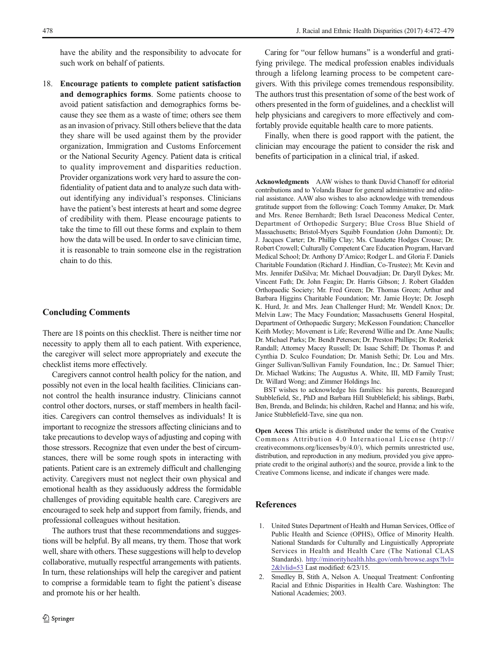<span id="page-6-0"></span>have the ability and the responsibility to advocate for such work on behalf of patients.

18. Encourage patients to complete patient satisfaction and demographics forms. Some patients choose to avoid patient satisfaction and demographics forms because they see them as a waste of time; others see them as an invasion of privacy. Still others believe that the data they share will be used against them by the provider organization, Immigration and Customs Enforcement or the National Security Agency. Patient data is critical to quality improvement and disparities reduction. Provider organizations work very hard to assure the confidentiality of patient data and to analyze such data without identifying any individual's responses. Clinicians have the patient's best interests at heart and some degree of credibility with them. Please encourage patients to take the time to fill out these forms and explain to them how the data will be used. In order to save clinician time, it is reasonable to train someone else in the registration chain to do this.

## Concluding Comments

There are 18 points on this checklist. There is neither time nor necessity to apply them all to each patient. With experience, the caregiver will select more appropriately and execute the checklist items more effectively.

Caregivers cannot control health policy for the nation, and possibly not even in the local health facilities. Clinicians cannot control the health insurance industry. Clinicians cannot control other doctors, nurses, or staff members in health facilities. Caregivers can control themselves as individuals! It is important to recognize the stressors affecting clinicians and to take precautions to develop ways of adjusting and coping with those stressors. Recognize that even under the best of circumstances, there will be some rough spots in interacting with patients. Patient care is an extremely difficult and challenging activity. Caregivers must not neglect their own physical and emotional health as they assiduously address the formidable challenges of providing equitable health care. Caregivers are encouraged to seek help and support from family, friends, and professional colleagues without hesitation.

The authors trust that these recommendations and suggestions will be helpful. By all means, try them. Those that work well, share with others. These suggestions will help to develop collaborative, mutually respectful arrangements with patients. In turn, these relationships will help the caregiver and patient to comprise a formidable team to fight the patient's disease and promote his or her health.

Caring for "our fellow humans" is a wonderful and gratifying privilege. The medical profession enables individuals through a lifelong learning process to be competent caregivers. With this privilege comes tremendous responsibility. The authors trust this presentation of some of the best work of others presented in the form of guidelines, and a checklist will help physicians and caregivers to more effectively and comfortably provide equitable health care to more patients.

Finally, when there is good rapport with the patient, the clinician may encourage the patient to consider the risk and benefits of participation in a clinical trial, if asked.

Acknowledgments AAW wishes to thank David Chanoff for editorial contributions and to Yolanda Bauer for general administrative and editorial assistance. AAW also wishes to also acknowledge with tremendous gratitude support from the following: Coach Tommy Amaker, Dr. Mark and Mrs. Renee Bernhardt; Beth Israel Deaconess Medical Center, Department of Orthopedic Surgery; Blue Cross Blue Shield of Massachusetts; Bristol-Myers Squibb Foundation (John Damonti); Dr. J. Jacques Carter; Dr. Phillip Clay; Ms. Claudette Hodges Crouse; Dr. Robert Crowell; Culturally Competent Care Education Program, Harvard Medical School; Dr. Anthony D'Amico; Rodger L. and Gloria F. Daniels Charitable Foundation (Richard J. Hindlian, Co-Trustee); Mr. Kevin and Mrs. Jennifer DaSilva; Mr. Michael Douvadjian; Dr. Daryll Dykes; Mr. Vincent Fath; Dr. John Feagin; Dr. Harris Gibson; J. Robert Gladden Orthopaedic Society; Mr. Fred Green; Dr. Thomas Green; Arthur and Barbara Higgins Charitable Foundation; Mr. Jamie Hoyte; Dr. Joseph K. Hurd, Jr. and Mrs. Jean Challenger Hurd; Mr. Wendell Knox; Dr. Melvin Law; The Macy Foundation; Massachusetts General Hospital, Department of Orthopaedic Surgery; McKesson Foundation; Chancellor Keith Motley; Movement is Life; Reverend Willie and Dr. Anne Naulls; Dr. Michael Parks; Dr. Bendt Petersen; Dr. Preston Phillips; Dr. Roderick Randall; Attorney Macey Russell; Dr. Isaac Schiff; Dr. Thomas P. and Cynthia D. Sculco Foundation; Dr. Manish Sethi; Dr. Lou and Mrs. Ginger Sullivan/Sullivan Family Foundation, Inc.; Dr. Samuel Thier; Dr. Michael Watkins; The Augustus A. White, III, MD Family Trust; Dr. Willard Wong; and Zimmer Holdings Inc.

BST wishes to acknowledge his families: his parents, Beauregard Stubblefield, Sr., PhD and Barbara Hill Stubblefield; his siblings, Barbi, Ben, Brenda, and Belinda; his children, Rachel and Hanna; and his wife, Janice Stubblefield-Tave, sine qua non.

Open Access This article is distributed under the terms of the Creative Commons Attribution 4.0 International License (http:// creativecommons.org/licenses/by/4.0/), which permits unrestricted use, distribution, and reproduction in any medium, provided you give appropriate credit to the original author(s) and the source, provide a link to the Creative Commons license, and indicate if changes were made.

## References

- 1. United States Department of Health and Human Services, Office of Public Health and Science (OPHS), Office of Minority Health. National Standards for Culturally and Linguistically Appropriate Services in Health and Health Care (The National CLAS Standards). [http://minorityhealth.hhs.gov/omh/browse.aspx?lvl=](http://minorityhealth.hhs.gov/omh/browse.aspx?lvl=2&lvlid=53) [2&lvlid=53](http://minorityhealth.hhs.gov/omh/browse.aspx?lvl=2&lvlid=53) Last modified: 6/23/15.
- 2. Smedley B, Stith A, Nelson A. Unequal Treatment: Confronting Racial and Ethnic Disparities in Health Care. Washington: The National Academies; 2003.